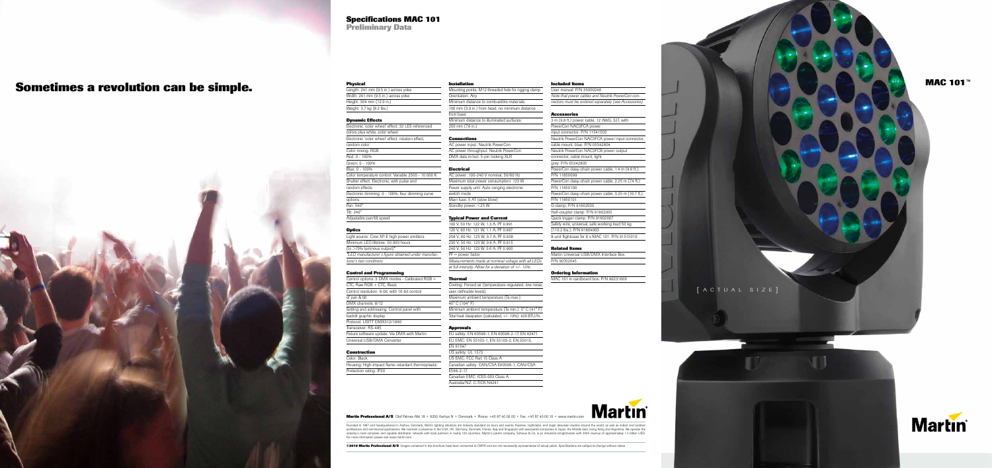**©2010 Martin Professional A/S** Images contained in this brochure have been converted to CMYK and are not necessarily representative of actual colors. Specifications are subject to change without notice

## ed hole for rigging clamp ustible materials: , no minimum distance

**Martin Professional A/S** Olof Palmes Allé 18 • 8200 Aarhus N • Denmark • Phone: +45 87 40 00 00 • Fax: +45 87 40 00 10 • www.martin.com

Founded in 1987 and headquartered in Aarhus, Denmark, Martin lighting solutions are industry standard on tours and events, theatres, nightclubs, and major television studios around the world, as well as indoor and outdoor architecture and commercial applications. We maintain a presence in the USA, UK, Germany, Denmark, France, Italy and Singapore with associated companies in Japan, the Middle East, Hong Kong and Argentina. We operate the<br>in For more information please visit www.martin.com

Green: 0 - 100% Blue: 0 - 100% Color temperature control: Variable 2500 - 10 000 K Shutter effect: Electronic, with pulse and random effects Electronic dimming: 0 - 100%, four dimming curve options

| Length: 241 mm (9.5 in.) across yoke |
|--------------------------------------|
| Width: 241 mm (9.5 in.) across yoke  |
| Height: 304 mm (12.0 in.)            |
| Weight: 3.7 kg (8.2 lbs.)            |
|                                      |

#### **Dynamic Effects**

Electronic 'color wheel' effect: 33 LEE-referenced colors plus white, color wheel Electronic 'color wheel' effect: rotation effect, random color Color mixing: RGB

## Red: 0 - 100%

Pan: 540° Tilt: 240° Adjustable pan/tilt speed

#### **Optics**

Light source: Cree XP-E high power emitters Minimum LED lifetime: 50 000 hours  $\sqrt{\frac{1}{10}}$  (to  $>$ 70% luminous output)\* *\*LED manufacturer´s figure obtained under manufacturer's test conditions*

> EU safety: EN 60598-1, EN 60598-2-17, EN 62471 Eu 55103-2, EN 55015,

E60598-1, CAN/CSA

| <b>Martin</b> <sup>®</sup> |  |  |
|----------------------------|--|--|
|                            |  |  |

#### **Control and Programming**

Control options: 3 DMX modes - Calibrated RGB + CTC, Raw RGB + CTC, Basic Control resolution: 8-bit, with 16-bit control of pan & tilt DMX channels: 8/12 Setting and addressing: Control panel with backlit graphic display Protocol: USITT DMX512/1990 Transceiver: RS-485 Fixture software update: Via DMX with Martin Universal USB/DMX Converter

connector, cable mount, light grey: P/N 05342805

#### **Construction**

| Color: Black                                       |  |
|----------------------------------------------------|--|
| Housing: High-impact flame-retardant thermoplastic |  |
| Protection rating: IP20                            |  |
|                                                    |  |

#### **Installation**

|                  | Mounting points: M12 thread |
|------------------|-----------------------------|
| Orientation: Any |                             |
|                  | Minimum distance to combu   |
|                  | 100 mm (3.9 in.) from head, |
| from base        |                             |
|                  | Minimum distance to illumin |
| 200 mm (7.9 in.) |                             |

#### **Connections**

AC power input: Neutrik PowerCon AC power throughput: Neutrik PowerCon DMX data in/out: 5-pin locking XLR

#### **Electrical**

| AC power: 100-240 V nomin    |
|------------------------------|
| Maximum total power consu    |
| Power supply unit: Auto-rang |
| switch mode                  |
| Main fuse: 5 AT (slow blow)  |
| Standby power: <25 W         |
|                              |

#### **Typical Power and Current**



100 V, 50 Hz: 122 W, 1.3 A, PF 0.991 120 V, 60 Hz: 121 W, 1.1 A, PF 0.987 208 V, 60 Hz: 123 W, 0.7 A, PF 0.938 230 V, 50 Hz: 123 W, 0.6 A, PF 0.915 240 V, 50 Hz: 123 W, 0.6 A, PF 0.900  $PF = power$  factor *Measurements made at nominal voltage with all LEDs at full intensity. Allow for a deviation of +/- 10%.*

#### **Therma**

| Cooling: Forced air (temper      |
|----------------------------------|
| user-definable levels)           |
| Maximum ambient tempera          |
| 40°C (104°F)                     |
| Minimum ambient temperat         |
| Total heat dissipation (calculat |
|                                  |

#### **Approvals**

| EU safety: EN 60598-1, EN 60598 |
|---------------------------------|
| EU EMC: EN 55103-1, EN 55103-   |
| <b>FN 61547</b>                 |
| US safety: UL 1573              |
| US EMC: FCC Part 15 Class A     |
| Canadian safety: CAN/CSA E6059  |
| E598-2-17                       |
| Canadian EMC: ICES-003 Class A  |
| Australia/NZ: C-TICK N4241      |
|                                 |

**Included Items** 

User manual: P/N 35000246

**Accessories** 

3 m (9.8 ft.) power cable, 12 AWG, SJT, with

mated surfaces:

hal, 50/60 Hz mption: 123 W ging electronic

rature-regulated, low noise,

ature (Ta max.):

 $\tan \left( \frac{\pi}{2} \right)$  min.):  $5^\circ$  C (41° F) ated, +/- 10%): 420 BTU/hr.

PowerCon NAC3FCA power input connector: P/N 11541503

cable mount, blue: P/N 05342804 Neutrik PowerCon NAC3FCB power output

P/N 11850099

P/N 11850100

P/N 11850101 G-clamp: P/N 91602003 Half-coupler clamp: P/N 91602005 Quick trigger clamp: P/N 91602007

(110.2 lbs.): P/N 91604003

**Related Items** 

Martin Universal USB/DMX Interface Box:

P/N 90702045

**Ordering Information** 

MAC 101 in cardboard box: P/N 90231600

## **Specifications MAC 101**

**Preliminary Data**

# **Sometimes a revolution can be simple.**